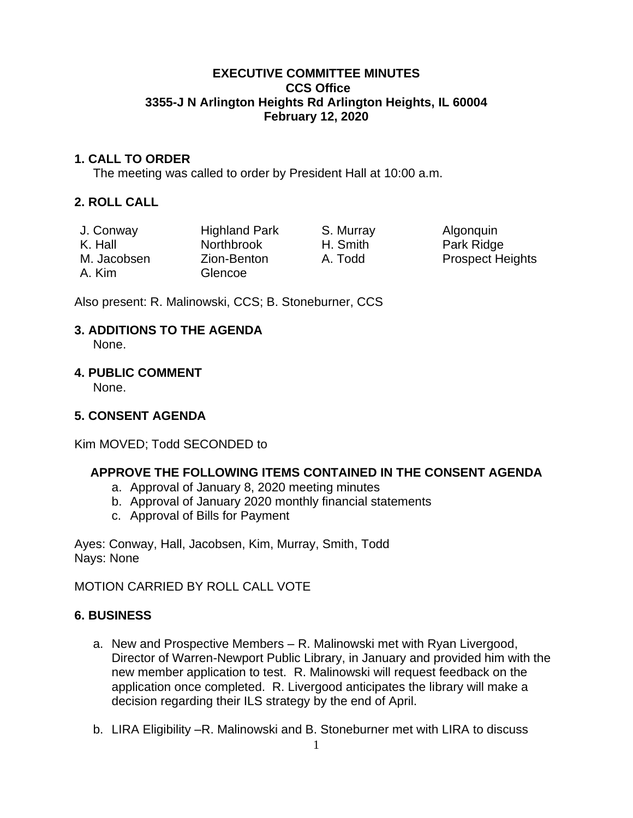#### **EXECUTIVE COMMITTEE MINUTES CCS Office 3355-J N Arlington Heights Rd Arlington Heights, IL 60004 February 12, 2020**

#### **1. CALL TO ORDER**

The meeting was called to order by President Hall at 10:00 a.m.

# **2. ROLL CALL**

| J. Conway   | <b>Highland Park</b> | S. Murray | Algonquin               |
|-------------|----------------------|-----------|-------------------------|
| K. Hall     | <b>Northbrook</b>    | H. Smith  | Park Ridge              |
| M. Jacobsen | Zion-Benton          | A. Todd   | <b>Prospect Heights</b> |
| A. Kim      | Glencoe              |           |                         |

Also present: R. Malinowski, CCS; B. Stoneburner, CCS

# **3. ADDITIONS TO THE AGENDA**

None.

#### **4. PUBLIC COMMENT**

None.

# **5. CONSENT AGENDA**

Kim MOVED; Todd SECONDED to

# **APPROVE THE FOLLOWING ITEMS CONTAINED IN THE CONSENT AGENDA**

- a. Approval of January 8, 2020 meeting minutes
- b. Approval of January 2020 monthly financial statements
- c. Approval of Bills for Payment

Ayes: Conway, Hall, Jacobsen, Kim, Murray, Smith, Todd Nays: None

MOTION CARRIED BY ROLL CALL VOTE

# **6. BUSINESS**

- a. New and Prospective Members R. Malinowski met with Ryan Livergood, Director of Warren-Newport Public Library, in January and provided him with the new member application to test. R. Malinowski will request feedback on the application once completed. R. Livergood anticipates the library will make a decision regarding their ILS strategy by the end of April.
- b. LIRA Eligibility –R. Malinowski and B. Stoneburner met with LIRA to discuss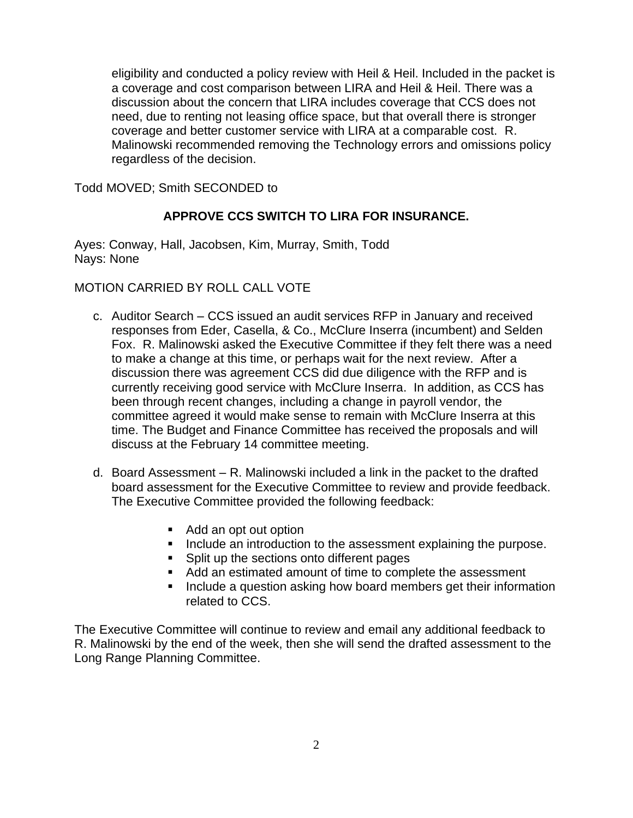eligibility and conducted a policy review with Heil & Heil. Included in the packet is a coverage and cost comparison between LIRA and Heil & Heil. There was a discussion about the concern that LIRA includes coverage that CCS does not need, due to renting not leasing office space, but that overall there is stronger coverage and better customer service with LIRA at a comparable cost. R. Malinowski recommended removing the Technology errors and omissions policy regardless of the decision.

Todd MOVED; Smith SECONDED to

# **APPROVE CCS SWITCH TO LIRA FOR INSURANCE.**

Ayes: Conway, Hall, Jacobsen, Kim, Murray, Smith, Todd Nays: None

MOTION CARRIED BY ROLL CALL VOTE

- c. Auditor Search CCS issued an audit services RFP in January and received responses from Eder, Casella, & Co., McClure Inserra (incumbent) and Selden Fox. R. Malinowski asked the Executive Committee if they felt there was a need to make a change at this time, or perhaps wait for the next review. After a discussion there was agreement CCS did due diligence with the RFP and is currently receiving good service with McClure Inserra. In addition, as CCS has been through recent changes, including a change in payroll vendor, the committee agreed it would make sense to remain with McClure Inserra at this time. The Budget and Finance Committee has received the proposals and will discuss at the February 14 committee meeting.
- d. Board Assessment R. Malinowski included a link in the packet to the drafted board assessment for the Executive Committee to review and provide feedback. The Executive Committee provided the following feedback:
	- Add an opt out option
	- **■** Include an introduction to the assessment explaining the purpose.
	- Split up the sections onto different pages
	- Add an estimated amount of time to complete the assessment
	- Include a question asking how board members get their information related to CCS.

The Executive Committee will continue to review and email any additional feedback to R. Malinowski by the end of the week, then she will send the drafted assessment to the Long Range Planning Committee.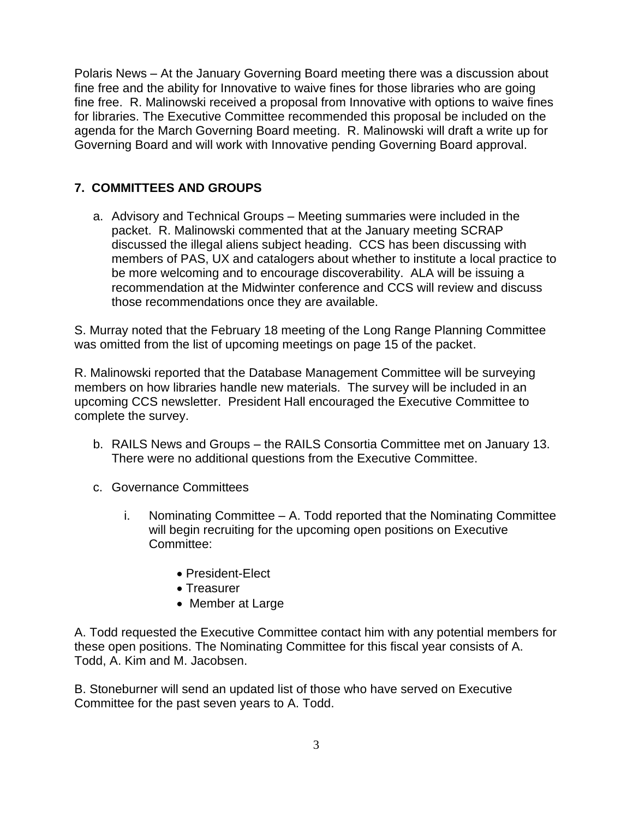Polaris News – At the January Governing Board meeting there was a discussion about fine free and the ability for Innovative to waive fines for those libraries who are going fine free. R. Malinowski received a proposal from Innovative with options to waive fines for libraries. The Executive Committee recommended this proposal be included on the agenda for the March Governing Board meeting. R. Malinowski will draft a write up for Governing Board and will work with Innovative pending Governing Board approval.

# **7. COMMITTEES AND GROUPS**

a. Advisory and Technical Groups – Meeting summaries were included in the packet. R. Malinowski commented that at the January meeting SCRAP discussed the illegal aliens subject heading. CCS has been discussing with members of PAS, UX and catalogers about whether to institute a local practice to be more welcoming and to encourage discoverability. ALA will be issuing a recommendation at the Midwinter conference and CCS will review and discuss those recommendations once they are available.

S. Murray noted that the February 18 meeting of the Long Range Planning Committee was omitted from the list of upcoming meetings on page 15 of the packet.

R. Malinowski reported that the Database Management Committee will be surveying members on how libraries handle new materials. The survey will be included in an upcoming CCS newsletter. President Hall encouraged the Executive Committee to complete the survey.

- b. RAILS News and Groups the RAILS Consortia Committee met on January 13. There were no additional questions from the Executive Committee.
- c. Governance Committees
	- i. Nominating Committee A. Todd reported that the Nominating Committee will begin recruiting for the upcoming open positions on Executive Committee:
		- President-Elect
		- Treasurer
		- Member at Large

A. Todd requested the Executive Committee contact him with any potential members for these open positions. The Nominating Committee for this fiscal year consists of A. Todd, A. Kim and M. Jacobsen.

B. Stoneburner will send an updated list of those who have served on Executive Committee for the past seven years to A. Todd.